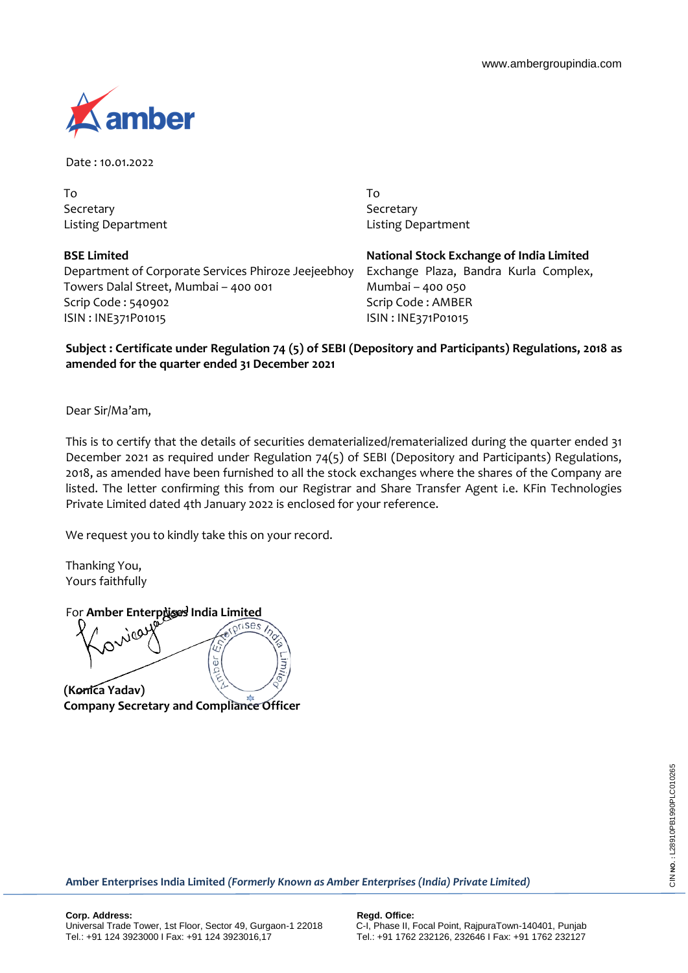

Date : 10.01.2022

To Secretary Listing Department

**BSE Limited** Department of Corporate Services Phiroze Jeejeebhoy Towers Dalal Street, Mumbai – 400 001 Scrip Code : 540902 ISIN : INE371P01015

To **Secretary** Listing Department

**National Stock Exchange of India Limited** Exchange Plaza, Bandra Kurla Complex, Mumbai – 400 050 Scrip Code : AMBER ISIN : INE371P01015

## **Subject : Certificate under Regulation 74 (5) of SEBI (Depository and Participants) Regulations, 2018 as amended for the quarter ended 31 December 2021**

Dear Sir/Ma'am,

This is to certify that the details of securities dematerialized/rematerialized during the quarter ended 31 December 2021 as required under Regulation 74(5) of SEBI (Depository and Participants) Regulations, 2018, as amended have been furnished to all the stock exchanges where the shares of the Company are listed. The letter confirming this from our Registrar and Share Transfer Agent i.e. KFin Technologies Private Limited dated 4th January 2022 is enclosed for your reference.

We request you to kindly take this on your record.

Thanking You, Yours faithfully

For **Amber Enterprises India Limited** 

ă Ę **(Konica Yadav)**

**Company Secretary and Compliance Officer**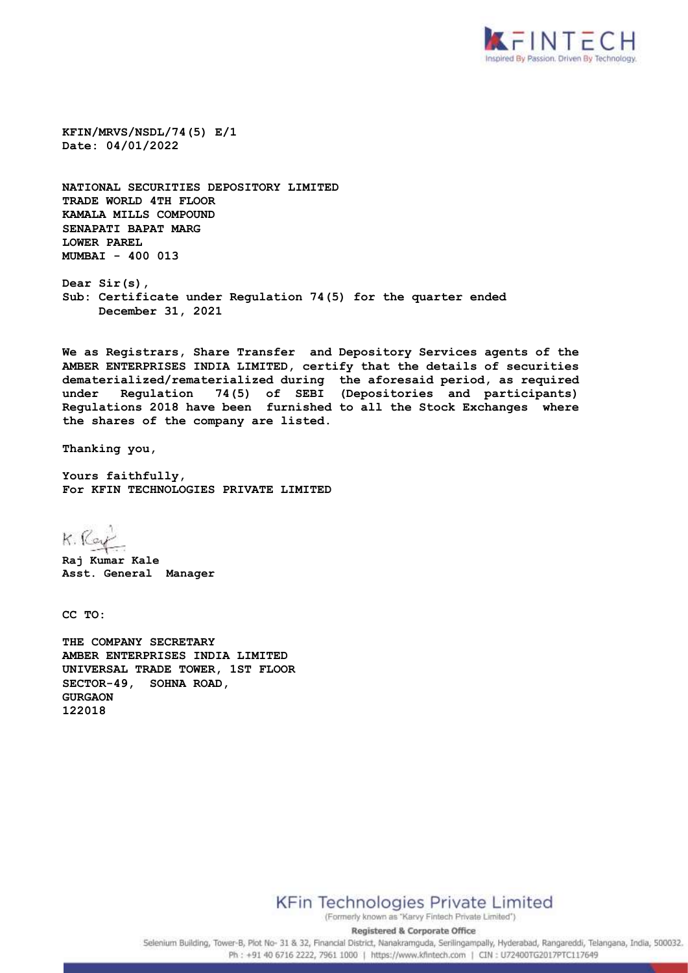

**KFIN/MRVS/NSDL/74(5) E/1 Date: 04/01/2022**

**NATIONAL SECURITIES DEPOSITORY LIMITED TRADE WORLD 4TH FLOOR KAMALA MILLS COMPOUND SENAPATI BAPAT MARG LOWER PAREL MUMBAI - 400 013**

**Dear Sir(s), Sub: Certificate under Regulation 74(5) for the quarter ended December 31, 2021**

**We as Registrars, Share Transfer and Depository Services agents of the AMBER ENTERPRISES INDIA LIMITED, certify that the details of securities dematerialized/rematerialized during the aforesaid period, as required under Regulation 74(5) of SEBI (Depositories and participants) Regulations 2018 have been furnished to all the Stock Exchanges where the shares of the company are listed.** 

**Thanking you,**

**Yours faithfully, For KFIN TECHNOLOGIES PRIVATE LIMITED**

K. Ray

**Raj Kumar Kale Asst. General Manager**

**CC TO:**

**THE COMPANY SECRETARY AMBER ENTERPRISES INDIA LIMITED UNIVERSAL TRADE TOWER, 1ST FLOOR SECTOR-49, SOHNA ROAD, GURGAON 122018**

**KFin Technologies Private Limited** 

(Formerly known as "Karvy Fintech Private Limited") **Registered & Corporate Office** 

Selenium Building, Tower-B, Plot No- 31 & 32, Financial District, Nanakramguda, Serilingampally, Hyderabad, Rangareddi, Telangana, India, 500032. Ph: +91 40 6716 2222, 7961 1000 | https://www.kfintech.com | CIN : U72400TG2017PTC117649